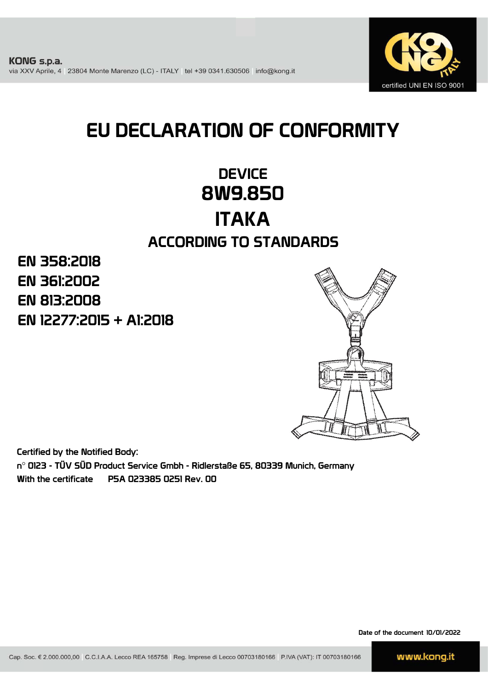

# EU DECLARATION OF CONFORMITY

## **DEVICE** 8W9.850 ITAKA ACCORDING TO STANDARDS

EN 12277:2015 + A1:2018 EN 361:2002 EN 813:2008 EN 358:2018



Certified by the Notified Body:

n° 0123 - TÜV SÜD Product Service Gmbh - Ridlerstaße 65, 80339 Munich, Germany With the certificate P5A 023385 0251 Rev. 00

Date of the document 10/01/2022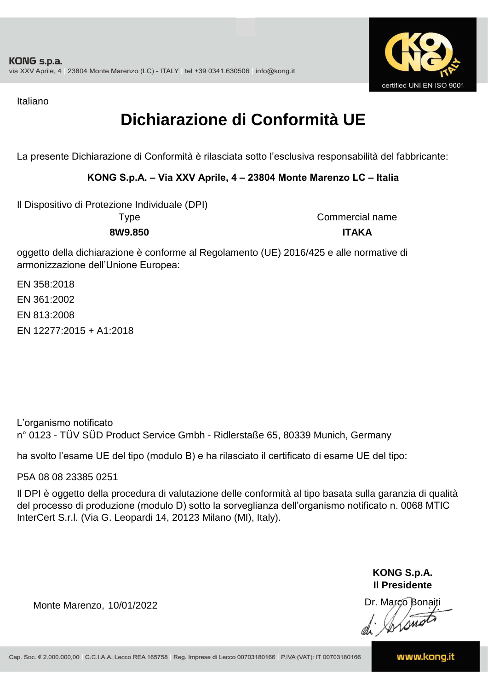

Italiano

## **Dichiarazione di Conformità UE**

La presente Dichiarazione di Conformità è rilasciata sotto l'esclusiva responsabilità del fabbricante:

### **KONG S.p.A. – Via XXV Aprile, 4 – 23804 Monte Marenzo LC – Italia**

Il Dispositivo di Protezione Individuale (DPI)

**8W9.850 ITAKA** Type Commercial name

oggetto della dichiarazione è conforme al Regolamento (UE) 2016/425 e alle normative di armonizzazione dell'Unione Europea:

EN 361:2002 EN 813:2008 EN 12277:2015 + A1:2018 EN 358:2018

L'organismo notificato n° 0123 - TÜV SÜD Product Service Gmbh - Ridlerstaße 65, 80339 Munich, Germany

ha svolto l'esame UE del tipo (modulo B) e ha rilasciato il certificato di esame UE del tipo:

P5A 08 08 23385 0251

Il DPI è oggetto della procedura di valutazione delle conformità al tipo basata sulla garanzia di qualità del processo di produzione (modulo D) sotto la sorveglianza dell'organismo notificato n. 0068 MTIC InterCert S.r.l. (Via G. Leopardi 14, 20123 Milano (MI), Italy).

> **KONG S.p.A. Il Presidente**

Monte Marenzo, 10/01/2022<br>
Monte Marenzo, 10/01/2022<br>
A Marco Bonaiti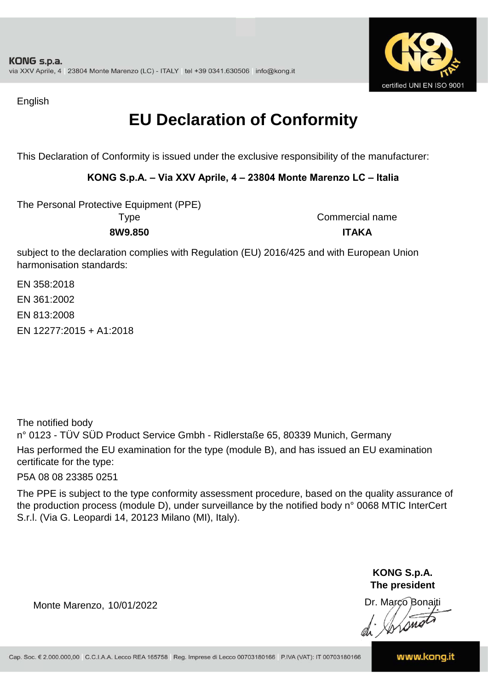

English

## **EU Declaration of Conformity**

This Declaration of Conformity is issued under the exclusive responsibility of the manufacturer:

### **KONG S.p.A. – Via XXV Aprile, 4 – 23804 Monte Marenzo LC – Italia**

The Personal Protective Equipment (PPE) Type Commercial name

**8W9.850 ITAKA**

subject to the declaration complies with Regulation (EU) 2016/425 and with European Union harmonisation standards:

EN 361:2002 EN 813:2008 EN 358:2018 EN 12277:2015 + A1:2018

The notified body

n° 0123 - TÜV SÜD Product Service Gmbh - Ridlerstaße 65, 80339 Munich, Germany Has performed the EU examination for the type (module B), and has issued an EU examination certificate for the type:

P5A 08 08 23385 0251

The PPE is subject to the type conformity assessment procedure, based on the quality assurance of the production process (module D), under surveillance by the notified body n° 0068 MTIC InterCert S.r.l. (Via G. Leopardi 14, 20123 Milano (MI), Italy).

> **KONG S.p.A. The president**

Dr. Marco Bonaiti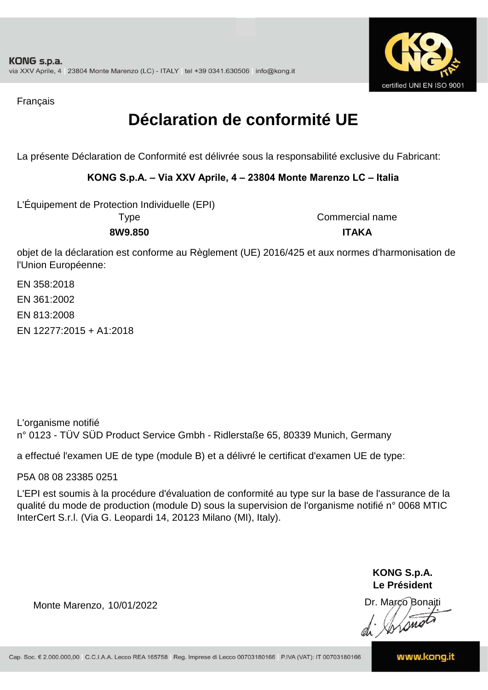

Français

## **Déclaration de conformité UE**

La présente Déclaration de Conformité est délivrée sous la responsabilité exclusive du Fabricant:

### **KONG S.p.A. – Via XXV Aprile, 4 – 23804 Monte Marenzo LC – Italia**

L'Équipement de Protection Individuelle (EPI)

**8W9.850 ITAKA** Type Commercial name

objet de la déclaration est conforme au Règlement (UE) 2016/425 et aux normes d'harmonisation de l'Union Européenne:

EN 358:2018 EN 361:2002 EN 813:2008 EN 12277:2015 + A1:2018

L'organisme notifié n° 0123 - TÜV SÜD Product Service Gmbh - Ridlerstaße 65, 80339 Munich, Germany

a effectué l'examen UE de type (module B) et a délivré le certificat d'examen UE de type:

P5A 08 08 23385 0251

L'EPI est soumis à la procédure d'évaluation de conformité au type sur la base de l'assurance de la qualité du mode de production (module D) sous la supervision de l'organisme notifié n° 0068 MTIC InterCert S.r.l. (Via G. Leopardi 14, 20123 Milano (MI), Italy).

> **KONG S.p.A. Le Président**

Dr. Marco Bonaiti di Aromor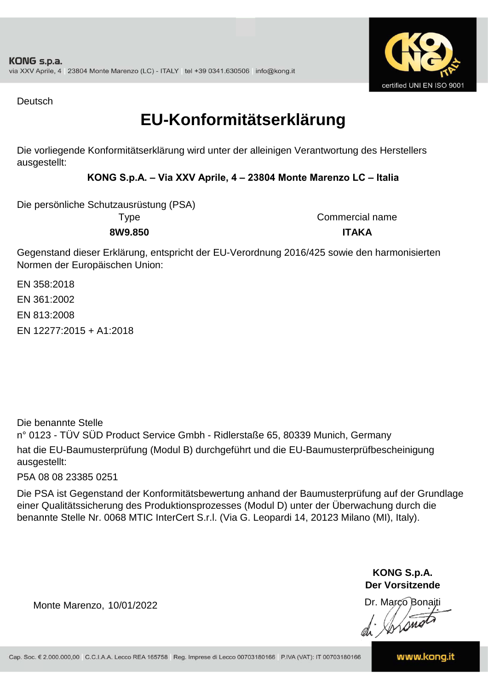

Deutsch

### **EU-Konformitätserklärung**

Die vorliegende Konformitätserklärung wird unter der alleinigen Verantwortung des Herstellers ausgestellt:

### **KONG S.p.A. – Via XXV Aprile, 4 – 23804 Monte Marenzo LC – Italia**

Die persönliche Schutzausrüstung (PSA)

**8W9.850 ITAKA** Type Commercial name

Gegenstand dieser Erklärung, entspricht der EU-Verordnung 2016/425 sowie den harmonisierten Normen der Europäischen Union:

EN 813:2008 EN 12277:2015 + A1:2018 EN 358:2018 EN 361:2002

Die benannte Stelle

n° 0123 - TÜV SÜD Product Service Gmbh - Ridlerstaße 65, 80339 Munich, Germany hat die EU-Baumusterprüfung (Modul B) durchgeführt und die EU-Baumusterprüfbescheinigung ausgestellt:

P5A 08 08 23385 0251

Die PSA ist Gegenstand der Konformitätsbewertung anhand der Baumusterprüfung auf der Grundlage einer Qualitätssicherung des Produktionsprozesses (Modul D) unter der Überwachung durch die benannte Stelle Nr. 0068 MTIC InterCert S.r.l. (Via G. Leopardi 14, 20123 Milano (MI), Italy).

> **KONG S.p.A. Der Vorsitzende**

Dr. Marco Bonaiti

Monte Marenzo, 10/01/2022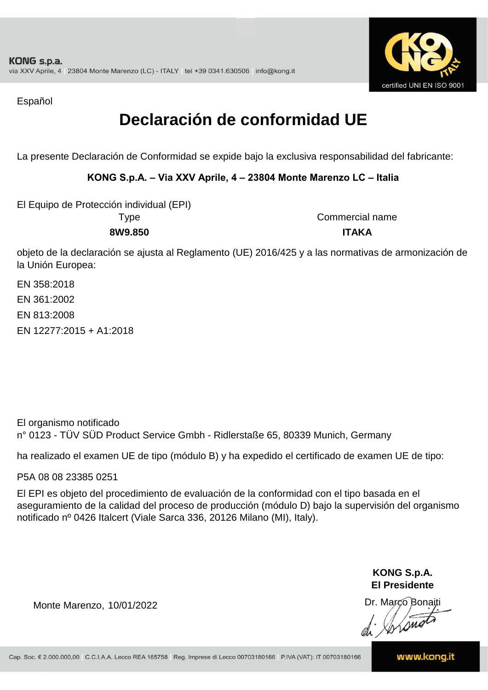

Español

## **Declaración de conformidad UE**

La presente Declaración de Conformidad se expide bajo la exclusiva responsabilidad del fabricante:

### **KONG S.p.A. – Via XXV Aprile, 4 – 23804 Monte Marenzo LC – Italia**

El Equipo de Protección individual (EPI)

Type Commercial name **8W9.850 ITAKA**

objeto de la declaración se ajusta al Reglamento (UE) 2016/425 y a las normativas de armonización de la Unión Europea:

EN 358:2018 EN 12277:2015 + A1:2018 EN 361:2002 EN 813:2008

El organismo notificado n° 0123 - TÜV SÜD Product Service Gmbh - Ridlerstaße 65, 80339 Munich, Germany

ha realizado el examen UE de tipo (módulo B) y ha expedido el certificado de examen UE de tipo:

P5A 08 08 23385 0251

El EPI es objeto del procedimiento de evaluación de la conformidad con el tipo basada en el aseguramiento de la calidad del proceso de producción (módulo D) bajo la supervisión del organismo notificado nº 0426 Italcert (Viale Sarca 336, 20126 Milano (MI), Italy).

> **KONG S.p.A. El Presidente**

Dr. Marco Bonaiti di Aromor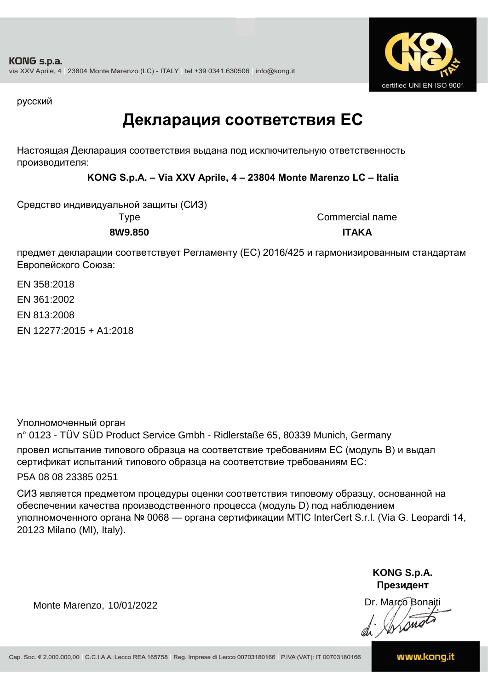

русский

### **Декларация соответствия ЕС**

Настоящая Декларация соответствия выдана под исключительную ответственность производителя:

**KONG S.p.A. – Via XXV Aprile, 4 – 23804 Monte Marenzo LC – Italia**

Средство индивидуальной защиты (СИЗ)

Type Commercial name **8W9.850 ITAKA**

предмет декларации соответствует Регламенту (ЕС) 2016/425 и гармонизированным стандартам Европейского Союза:

EN 358:2018 EN 361:2002 EN 813:2008

EN 12277:2015 + A1:2018

Уполномоченный орган

n° 0123 - TÜV SÜD Product Service Gmbh - Ridlerstaße 65, 80339 Munich, Germany провел испытание типового образца на соответствие требованиям ЕС (модуль B) и выдал сертификат испытаний типового образца на соответствие требованиям ЕС:

P5A 08 08 23385 0251

СИЗ является предметом процедуры оценки соответствия типовому образцу, основанной на обеспечении качества производственного процесса (модуль D) под наблюдением уполномоченного органа № 0068 — органа сертификации MTIC InterCert S.r.l. (Via G. Leopardi 14, 20123 Milano (MI), Italy).

> **KONG S.p.A. Президент**

Dr. Marco Bonaiti

Monte Marenzo, 10/01/2022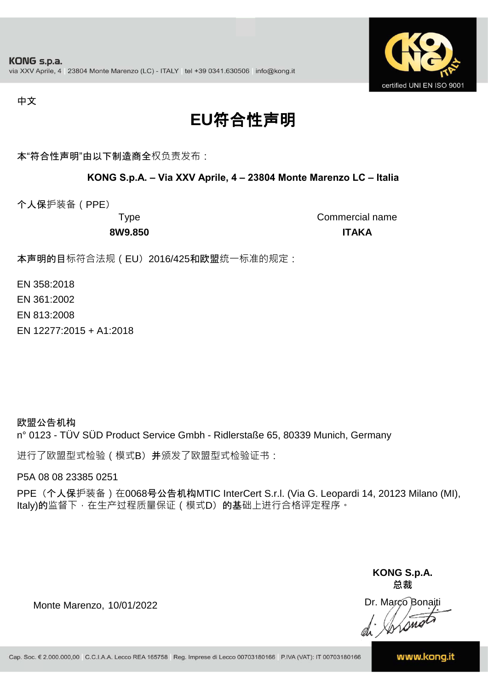

#### 中文

## **EU**符合性声明

本"符合性声明"由以下制造商全权负责发布:

#### **KONG S.p.A. – Via XXV Aprile, 4 – 23804 Monte Marenzo LC – Italia**

个人保护装备(PPE)

Type Commercial name **8W9.850 ITAKA**

本声明的目标符合法规 (EU) 2016/425和欧盟统一标准的规定:

EN 358:2018

EN 361:2002

EN 813:2008

EN 12277:2015 + A1:2018

欧盟公告机构 n° 0123 - TÜV SÜD Product Service Gmbh - Ridlerstaße 65, 80339 Munich, Germany

进行了欧盟型式检验(模式B) 并颁发了欧盟型式检验证书:

P5A 08 08 23385 0251

PPE (个人保护装备) 在0068号公告机构MTIC InterCert S.r.l. (Via G. Leopardi 14, 20123 Milano (MI), Italy)的监督下, 在生产过程质量保证 ( 模式D) 的基础上进行合格评定程序。

> **KONG S.p.A. 总裁**

Dr. Marco Bonaiti di Stono

Monte Marenzo, 10/01/2022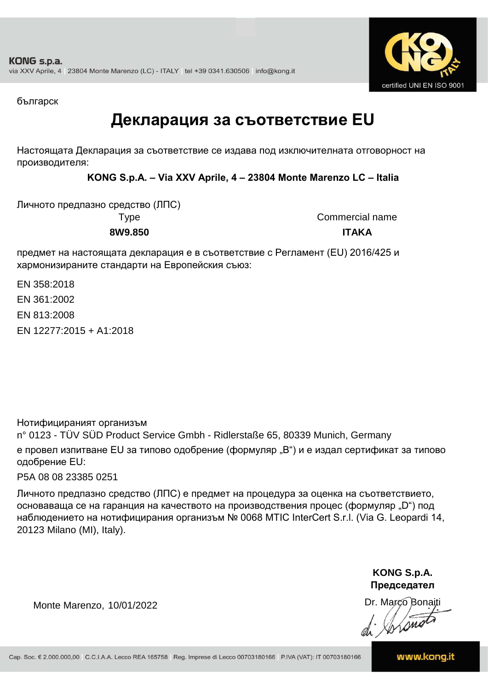

българск

### **Декларация за съответствие EU**

Настоящата Декларация за съответствие се издава под изключителната отговорност на производителя:

**KONG S.p.A. – Via XXV Aprile, 4 – 23804 Monte Marenzo LC – Italia**

Личното предпазно средство (ЛПС) **8W9.850 ITAKA**

Type Commercial name

предмет на настоящата декларация е в съответствие с Регламент (ЕU) 2016/425 и хармонизираните стандарти на Европейския съюз:

EN 12277:2015 + A1:2018 EN 358:2018 EN 361:2002 EN 813:2008

Нотифицираният организъм

n° 0123 - TÜV SÜD Product Service Gmbh - Ridlerstaße 65, 80339 Munich, Germany е провел изпитване EU за типово одобрение (формуляр "B") и е издал сертификат за типово одобрение ЕU:

P5A 08 08 23385 0251

Личното предпазно средство (ЛПС) е предмет на процедура за оценка на съответствието, основаваща се на гаранция на качеството на производствения процес (формуляр "D") под наблюдението на нотифицирания организъм № 0068 MTIC InterCert S.r.l. (Via G. Leopardi 14, 20123 Milano (MI), Italy).

> **KONG S.p.A. Председател**

Dr. Marco Bonaiti di Arono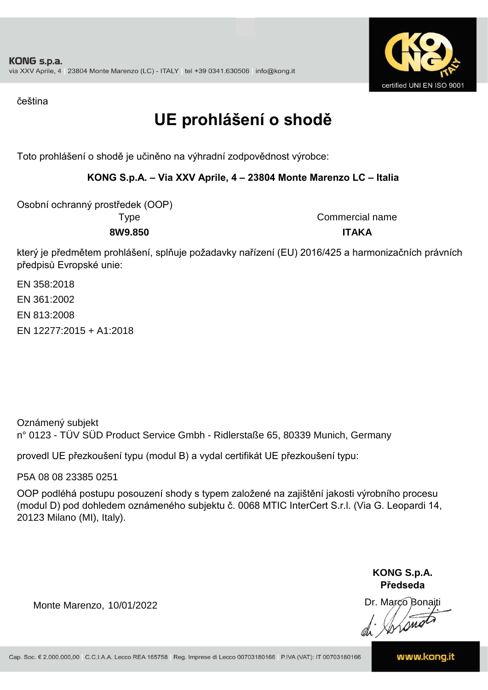

čeština

## **UE prohlášení o shodě**

Toto prohlášení o shodě je učiněno na výhradní zodpovědnost výrobce:

### **KONG S.p.A. – Via XXV Aprile, 4 – 23804 Monte Marenzo LC – Italia**

Osobní ochranný prostředek (OOP)

Type Commercial name **8W9.850 ITAKA**

který je předmětem prohlášení, splňuje požadavky nařízení (EU) 2016/425 a harmonizačních právních předpisů Evropské unie:

EN 358:2018 EN 361:2002 EN 813:2008 EN 12277:2015 + A1:2018

Oznámený subjekt n° 0123 - TÜV SÜD Product Service Gmbh - Ridlerstaße 65, 80339 Munich, Germany

provedl UE přezkoušení typu (modul B) a vydal certifikát UE přezkoušení typu:

P5A 08 08 23385 0251

OOP podléhá postupu posouzení shody s typem založené na zajištění jakosti výrobního procesu (modul D) pod dohledem oznámeného subjektu č. 0068 MTIC InterCert S.r.l. (Via G. Leopardi 14, 20123 Milano (MI), Italy).

> **KONG S.p.A. Předseda**

Dr. Marco Bonaiti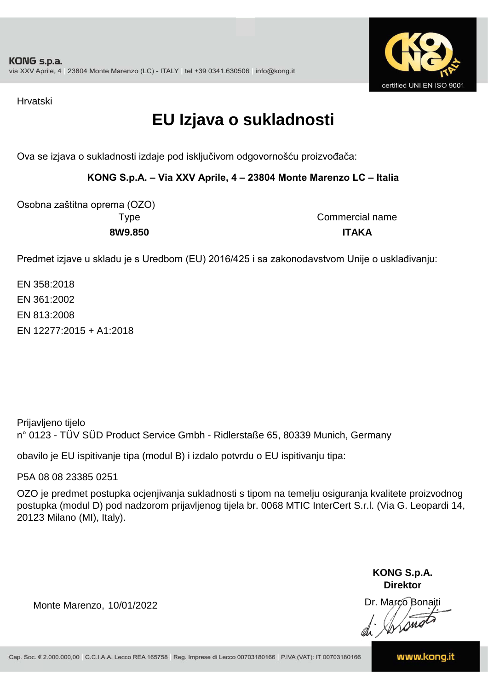

Hrvatski

## **EU Izjava o sukladnosti**

Ova se izjava o sukladnosti izdaje pod isključivom odgovornošću proizvođača:

**KONG S.p.A. – Via XXV Aprile, 4 – 23804 Monte Marenzo LC – Italia**

Osobna zaštitna oprema (OZO)

Type Commercial name **8W9.850 ITAKA**

Predmet izjave u skladu je s Uredbom (EU) 2016/425 i sa zakonodavstvom Unije o usklađivanju:

EN 12277:2015 + A1:2018 EN 358:2018 EN 361:2002 EN 813:2008

Prijavljeno tijelo n° 0123 - TÜV SÜD Product Service Gmbh - Ridlerstaße 65, 80339 Munich, Germany

obavilo je EU ispitivanje tipa (modul B) i izdalo potvrdu o EU ispitivanju tipa:

P5A 08 08 23385 0251

OZO je predmet postupka ocjenjivanja sukladnosti s tipom na temelju osiguranja kvalitete proizvodnog postupka (modul D) pod nadzorom prijavljenog tijela br. 0068 MTIC InterCert S.r.l. (Via G. Leopardi 14, 20123 Milano (MI), Italy).

> **KONG S.p.A. Direktor**

Dr. Marco Bonaiti

Monte Marenzo, 10/01/2022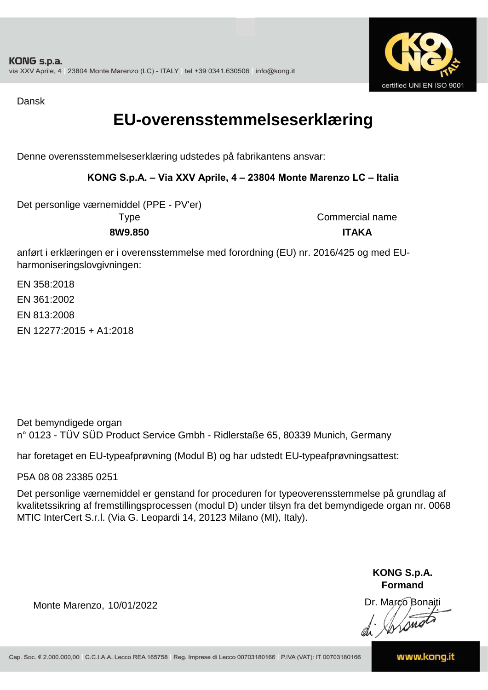

Dansk

### **EU-overensstemmelseserklæring**

Denne overensstemmelseserklæring udstedes på fabrikantens ansvar:

### **KONG S.p.A. – Via XXV Aprile, 4 – 23804 Monte Marenzo LC – Italia**

Det personlige værnemiddel (PPE - PV'er)

Type Commercial name **8W9.850 ITAKA**

anført i erklæringen er i overensstemmelse med forordning (EU) nr. 2016/425 og med EUharmoniseringslovgivningen:

EN 358:2018 EN 361:2002 EN 813:2008 EN 12277:2015 + A1:2018

Det bemyndigede organ n° 0123 - TÜV SÜD Product Service Gmbh - Ridlerstaße 65, 80339 Munich, Germany

har foretaget en EU-typeafprøvning (Modul B) og har udstedt EU-typeafprøvningsattest:

P5A 08 08 23385 0251

Det personlige værnemiddel er genstand for proceduren for typeoverensstemmelse på grundlag af kvalitetssikring af fremstillingsprocessen (modul D) under tilsyn fra det bemyndigede organ nr. 0068 MTIC InterCert S.r.l. (Via G. Leopardi 14, 20123 Milano (MI), Italy).

> **KONG S.p.A. Formand**

Dr. Marco Bonaiti di Aromor

Monte Marenzo, 10/01/2022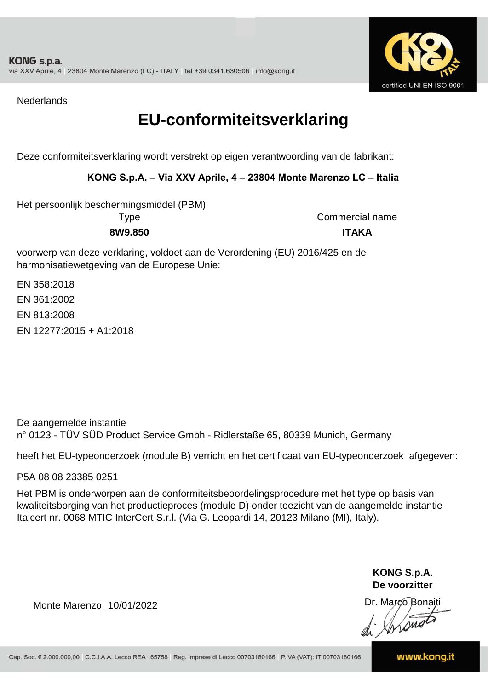

**Nederlands** 

### **EU-conformiteitsverklaring**

Deze conformiteitsverklaring wordt verstrekt op eigen verantwoording van de fabrikant:

#### **KONG S.p.A. – Via XXV Aprile, 4 – 23804 Monte Marenzo LC – Italia**

Type Commercial name Het persoonlijk beschermingsmiddel (PBM)

**8W9.850 ITAKA**

voorwerp van deze verklaring, voldoet aan de Verordening (EU) 2016/425 en de harmonisatiewetgeving van de Europese Unie:

EN 12277:2015 + A1:2018 EN 358:2018 EN 361:2002 EN 813:2008

De aangemelde instantie n° 0123 - TÜV SÜD Product Service Gmbh - Ridlerstaße 65, 80339 Munich, Germany

heeft het EU-typeonderzoek (module B) verricht en het certificaat van EU-typeonderzoek afgegeven:

P5A 08 08 23385 0251

Het PBM is onderworpen aan de conformiteitsbeoordelingsprocedure met het type op basis van kwaliteitsborging van het productieproces (module D) onder toezicht van de aangemelde instantie Italcert nr. 0068 MTIC InterCert S.r.l. (Via G. Leopardi 14, 20123 Milano (MI), Italy).

> **KONG S.p.A. De voorzitter**

Dr. Marco Bonaiti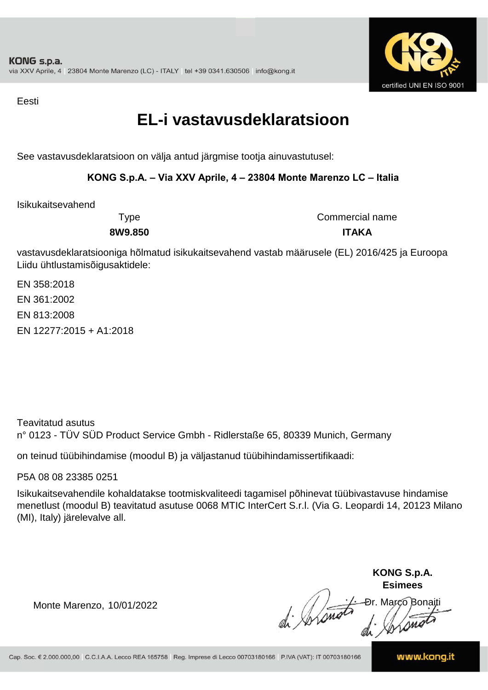

Eesti

### **EL-i vastavusdeklaratsioon**

See vastavusdeklaratsioon on välja antud järgmise tootja ainuvastutusel:

### **KONG S.p.A. – Via XXV Aprile, 4 – 23804 Monte Marenzo LC – Italia**

Isikukaitsevahend

Type Commercial name **8W9.850 ITAKA**

vastavusdeklaratsiooniga hõlmatud isikukaitsevahend vastab määrusele (EL) 2016/425 ja Euroopa Liidu ühtlustamisõigusaktidele:

EN 358:2018 EN 361:2002 EN 813:2008 EN 12277:2015 + A1:2018

Teavitatud asutus n° 0123 - TÜV SÜD Product Service Gmbh - Ridlerstaße 65, 80339 Munich, Germany

on teinud tüübihindamise (moodul B) ja väljastanud tüübihindamissertifikaadi:

P5A 08 08 23385 0251

Isikukaitsevahendile kohaldatakse tootmiskvaliteedi tagamisel põhinevat tüübivastavuse hindamise menetlust (moodul B) teavitatud asutuse 0068 MTIC InterCert S.r.l. (Via G. Leopardi 14, 20123 Milano (MI), Italy) järelevalve all.

**KONG S.p.A. Esimees** Ðr. Março Bonaiti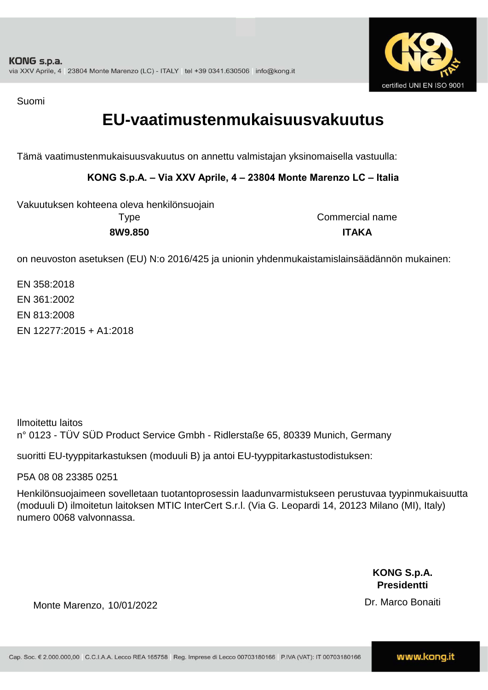

Suomi

### **EU-vaatimustenmukaisuusvakuutus**

Tämä vaatimustenmukaisuusvakuutus on annettu valmistajan yksinomaisella vastuulla:

**KONG S.p.A. – Via XXV Aprile, 4 – 23804 Monte Marenzo LC – Italia**

Type Commercial name Vakuutuksen kohteena oleva henkilönsuojain

**8W9.850 ITAKA**

on neuvoston asetuksen (EU) N:o 2016/425 ja unionin yhdenmukaistamislainsäädännön mukainen:

EN 12277:2015 + A1:2018 EN 358:2018 EN 361:2002 EN 813:2008

Ilmoitettu laitos n° 0123 - TÜV SÜD Product Service Gmbh - Ridlerstaße 65, 80339 Munich, Germany

suoritti EU-tyyppitarkastuksen (moduuli B) ja antoi EU-tyyppitarkastustodistuksen:

P5A 08 08 23385 0251

Henkilönsuojaimeen sovelletaan tuotantoprosessin laadunvarmistukseen perustuvaa tyypinmukaisuutta (moduuli D) ilmoitetun laitoksen MTIC InterCert S.r.l. (Via G. Leopardi 14, 20123 Milano (MI), Italy) numero 0068 valvonnassa.

> **KONG S.p.A. Presidentti**

Dr. Marco Bonaiti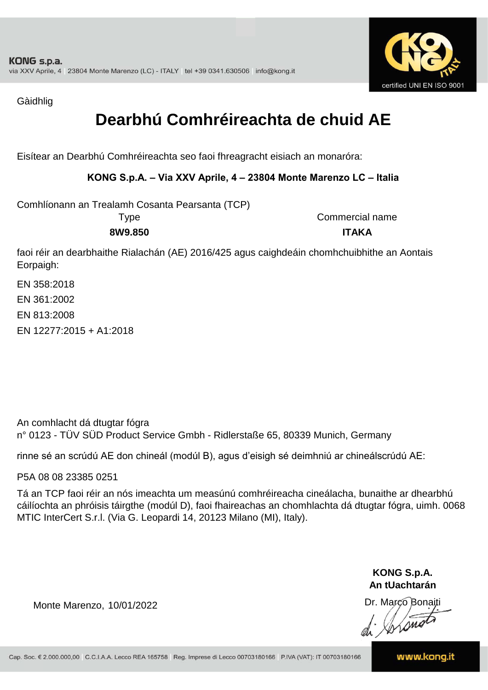

Gàidhlig

## **Dearbhú Comhréireachta de chuid AE**

Eisítear an Dearbhú Comhréireachta seo faoi fhreagracht eisiach an monaróra:

#### **KONG S.p.A. – Via XXV Aprile, 4 – 23804 Monte Marenzo LC – Italia**

Comhlíonann an Trealamh Cosanta Pearsanta (TCP)

Type Commercial name **8W9.850 ITAKA**

faoi réir an dearbhaithe Rialachán (AE) 2016/425 agus caighdeáin chomhchuibhithe an Aontais Eorpaigh:

EN 358:2018 EN 361:2002 EN 813:2008 EN 12277:2015 + A1:2018

An comhlacht dá dtugtar fógra n° 0123 - TÜV SÜD Product Service Gmbh - Ridlerstaße 65, 80339 Munich, Germany

rinne sé an scrúdú AE don chineál (modúl B), agus d'eisigh sé deimhniú ar chineálscrúdú AE:

P5A 08 08 23385 0251

Tá an TCP faoi réir an nós imeachta um measúnú comhréireacha cineálacha, bunaithe ar dhearbhú cáilíochta an phróisis táirgthe (modúl D), faoi fhaireachas an chomhlachta dá dtugtar fógra, uimh. 0068 MTIC InterCert S.r.l. (Via G. Leopardi 14, 20123 Milano (MI), Italy).

> **KONG S.p.A. An tUachtarán**

Dr. Marco Bonaiti di Stonom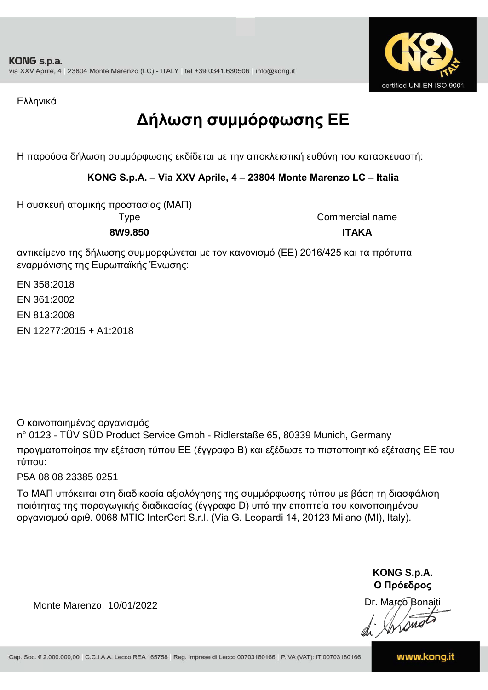

Ελληνικά

## **Δήλωση συμμόρφωσης ΕE**

Η παρούσα δήλωση συμμόρφωσης εκδίδεται με την αποκλειστική ευθύνη του κατασκευαστή:

### **KONG S.p.A. – Via XXV Aprile, 4 – 23804 Monte Marenzo LC – Italia**

Η συσκευή ατομικής προστασίας (ΜΑΠ)

Type Commercial name **8W9.850 ITAKA**

αντικείμενο της δήλωσης συμμορφώνεται με τον κανονισμό (ΕΕ) 2016/425 και τα πρότυπα εναρμόνισης της Ευρωπαϊκής Ένωσης:

EN 358:2018

EN 361:2002

EN 813:2008

EN 12277:2015 + A1:2018

Ο κοινοποιημένος οργανισμός

n° 0123 - TÜV SÜD Product Service Gmbh - Ridlerstaße 65, 80339 Munich, Germany πραγματοποίησε την εξέταση τύπου ΕΕ (έγγραφο Β) και εξέδωσε το πιστοποιητικό εξέτασης ΕΕ του τύπου:

P5A 08 08 23385 0251

Το ΜΑΠ υπόκειται στη διαδικασία αξιολόγησης της συμμόρφωσης τύπου με βάση τη διασφάλιση ποιότητας της παραγωγικής διαδικασίας (έγγραφο D) υπό την εποπτεία του κοινοποιημένου οργανισμού αριθ. 0068 MTIC InterCert S.r.l. (Via G. Leopardi 14, 20123 Milano (MI), Italy).

> **KONG S.p.A. Ο Πρόεδρος**

Dr. Marco Bonaiti di Arono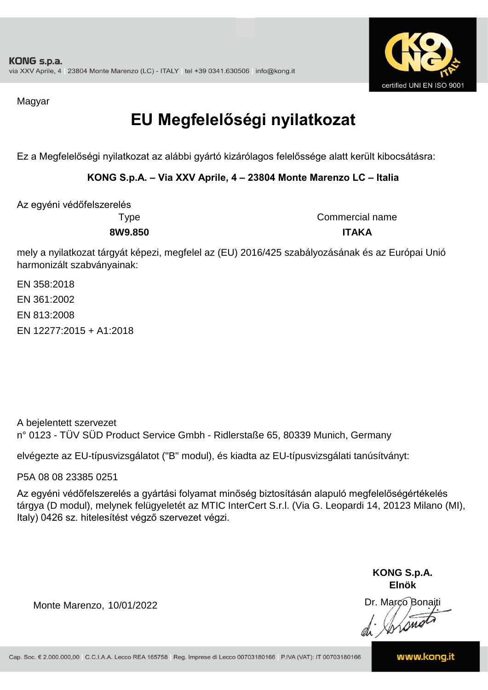

Magyar

## **EU Megfelelőségi nyilatkozat**

Ez a Megfelelőségi nyilatkozat az alábbi gyártó kizárólagos felelőssége alatt került kibocsátásra:

**KONG S.p.A. – Via XXV Aprile, 4 – 23804 Monte Marenzo LC – Italia**

Az egyéni védőfelszerelés

Type Commercial name **8W9.850 ITAKA**

mely a nyilatkozat tárgyát képezi, megfelel az (EU) 2016/425 szabályozásának és az Európai Unió harmonizált szabványainak:

EN 358:2018 EN 361:2002 EN 813:2008 EN 12277:2015 + A1:2018

A bejelentett szervezet n° 0123 - TÜV SÜD Product Service Gmbh - Ridlerstaße 65, 80339 Munich, Germany

elvégezte az EU-típusvizsgálatot ("B" modul), és kiadta az EU-típusvizsgálati tanúsítványt:

P5A 08 08 23385 0251

Az egyéni védőfelszerelés a gyártási folyamat minőség biztosításán alapuló megfelelőségértékelés tárgya (D modul), melynek felügyeletét az MTIC InterCert S.r.l. (Via G. Leopardi 14, 20123 Milano (MI), Italy) 0426 sz. hitelesítést végző szervezet végzi.

> **KONG S.p.A. Elnök**

Dr. Marco Bonaiti di Aromor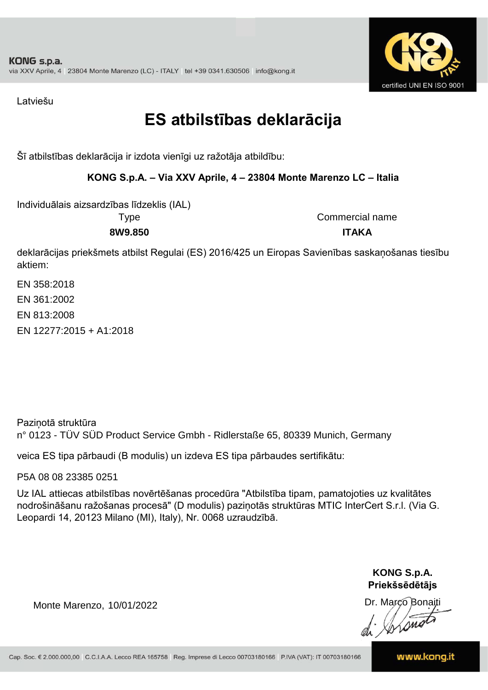

Latviešu

## **ES atbilstības deklarācija**

Šī atbilstības deklarācija ir izdota vienīgi uz ražotāja atbildību:

### **KONG S.p.A. – Via XXV Aprile, 4 – 23804 Monte Marenzo LC – Italia**

Individuālais aizsardzības līdzeklis (IAL)

Type Commercial name **8W9.850 ITAKA**

deklarācijas priekšmets atbilst Regulai (ES) 2016/425 un Eiropas Savienības saskaņošanas tiesību aktiem:

EN 12277:2015 + A1:2018 EN 358:2018 EN 361:2002 EN 813:2008

Paziņotā struktūra n° 0123 - TÜV SÜD Product Service Gmbh - Ridlerstaße 65, 80339 Munich, Germany

veica ES tipa pārbaudi (B modulis) un izdeva ES tipa pārbaudes sertifikātu:

P5A 08 08 23385 0251

Uz IAL attiecas atbilstības novērtēšanas procedūra "Atbilstība tipam, pamatojoties uz kvalitātes nodrošināšanu ražošanas procesā" (D modulis) paziņotās struktūras MTIC InterCert S.r.l. (Via G. Leopardi 14, 20123 Milano (MI), Italy), Nr. 0068 uzraudzībā.

> **KONG S.p.A. Priekšsēdētājs**

Dr. Marco Bonaiti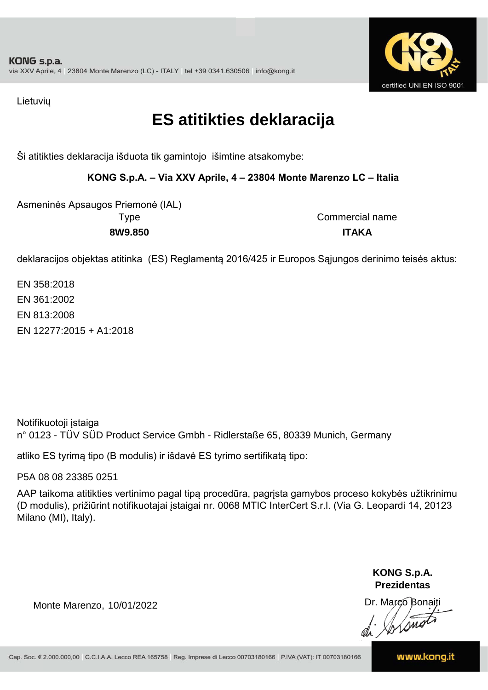

Lietuvių

## **ES atitikties deklaracija**

Ši atitikties deklaracija išduota tik gamintojo išimtine atsakomybe:

**KONG S.p.A. – Via XXV Aprile, 4 – 23804 Monte Marenzo LC – Italia**

Asmeninės Apsaugos Priemonė (IAL) **8W9.850 ITAKA**

Type Commercial name

deklaracijos objektas atitinka (ES) Reglamentą 2016/425 ir Europos Sąjungos derinimo teisės aktus:

EN 358:2018 EN 361:2002 EN 813:2008 EN 12277:2015 + A1:2018

Notifikuotoji įstaiga n° 0123 - TÜV SÜD Product Service Gmbh - Ridlerstaße 65, 80339 Munich, Germany

atliko ES tyrimą tipo (B modulis) ir išdavė ES tyrimo sertifikatą tipo:

P5A 08 08 23385 0251

AAP taikoma atitikties vertinimo pagal tipą procedūra, pagrįsta gamybos proceso kokybės užtikrinimu (D modulis), prižiūrint notifikuotajai įstaigai nr. 0068 MTIC InterCert S.r.l. (Via G. Leopardi 14, 20123 Milano (MI), Italy).

> **KONG S.p.A. Prezidentas**

Dr. Marco Bonaiti di Arono

Monte Marenzo, 10/01/2022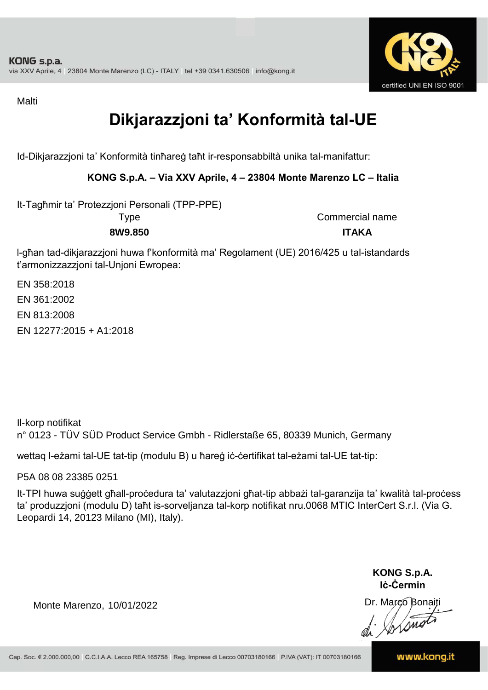

Malti

## **Dikjarazzjoni ta' Konformità tal-UE**

Id-Dikjarazzjoni ta' Konformità tinħareġ taħt ir-responsabbiltà unika tal-manifattur:

#### **KONG S.p.A. – Via XXV Aprile, 4 – 23804 Monte Marenzo LC – Italia**

It-Tagħmir ta' Protezzjoni Personali (TPP-PPE)

Type Commercial name **8W9.850 ITAKA**

l-għan tad-dikjarazzjoni huwa f'konformità ma' Regolament (UE) 2016/425 u tal-istandards t'armonizzazzjoni tal-Unjoni Ewropea:

EN 12277:2015 + A1:2018 EN 358:2018 EN 361:2002 EN 813:2008

Il-korp notifikat n° 0123 - TÜV SÜD Product Service Gmbh - Ridlerstaße 65, 80339 Munich, Germany

wettaq l-eżami tal-UE tat-tip (modulu B) u ħareġ iċ-ċertifikat tal-eżami tal-UE tat-tip:

P5A 08 08 23385 0251

It-TPI huwa suġġett għall-proċedura ta' valutazzjoni għat-tip abbażi tal-garanzija ta' kwalità tal-proċess ta' produzzjoni (modulu D) taħt is-sorveljanza tal-korp notifikat nru.0068 MTIC InterCert S.r.l. (Via G. Leopardi 14, 20123 Milano (MI), Italy).

> **KONG S.p.A. Iċ-Ċermin**

Dr. Marco Bonaiti di Aromor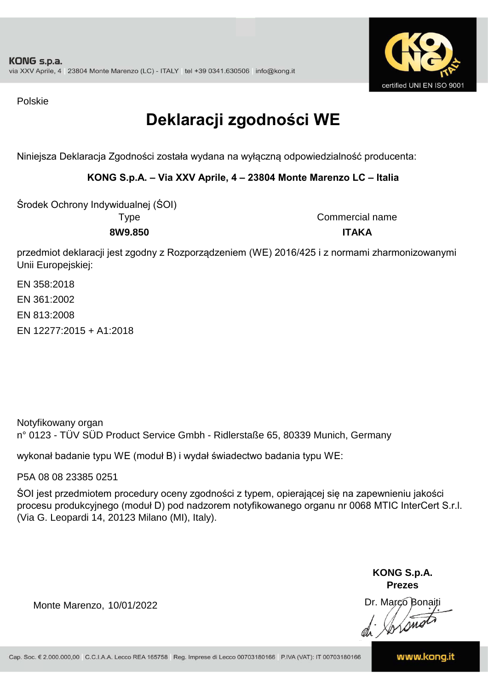

Polskie

## **Deklaracji zgodności WE**

Niniejsza Deklaracja Zgodności została wydana na wyłączną odpowiedzialność producenta:

**KONG S.p.A. – Via XXV Aprile, 4 – 23804 Monte Marenzo LC – Italia**

Środek Ochrony Indywidualnej (ŚOI)

Type Commercial name **8W9.850 ITAKA**

przedmiot deklaracji jest zgodny z Rozporządzeniem (WE) 2016/425 i z normami zharmonizowanymi Unii Europejskiej:

EN 358:2018 EN 361:2002 EN 813:2008 EN 12277:2015 + A1:2018

Notyfikowany organ n° 0123 - TÜV SÜD Product Service Gmbh - Ridlerstaße 65, 80339 Munich, Germany

wykonał badanie typu WE (moduł B) i wydał świadectwo badania typu WE:

P5A 08 08 23385 0251

ŚOI jest przedmiotem procedury oceny zgodności z typem, opierającej się na zapewnieniu jakości procesu produkcyjnego (moduł D) pod nadzorem notyfikowanego organu nr 0068 MTIC InterCert S.r.l. (Via G. Leopardi 14, 20123 Milano (MI), Italy).

> **KONG S.p.A. Prezes**

Dr. Marco Bonaiti di Arono

Monte Marenzo, 10/01/2022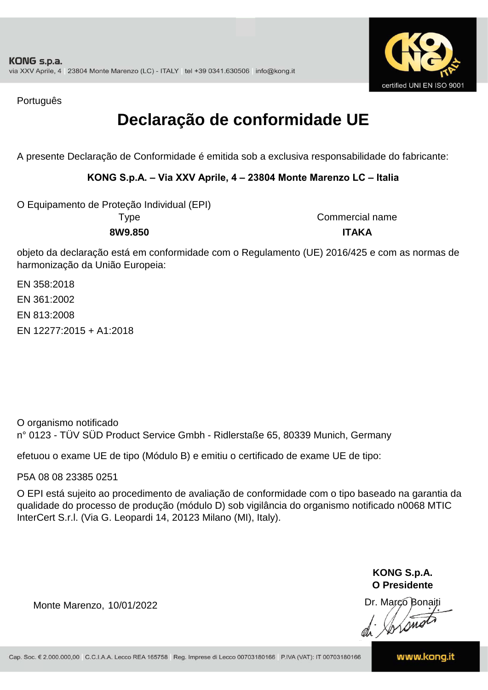

Português

## **Declaração de conformidade UE**

A presente Declaração de Conformidade é emitida sob a exclusiva responsabilidade do fabricante:

### **KONG S.p.A. – Via XXV Aprile, 4 – 23804 Monte Marenzo LC – Italia**

O Equipamento de Proteção Individual (EPI)

Type Commercial name **8W9.850 ITAKA**

objeto da declaração está em conformidade com o Regulamento (UE) 2016/425 e com as normas de harmonização da União Europeia:

EN 12277:2015 + A1:2018 EN 361:2002 EN 813:2008 EN 358:2018

O organismo notificado n° 0123 - TÜV SÜD Product Service Gmbh - Ridlerstaße 65, 80339 Munich, Germany

efetuou o exame UE de tipo (Módulo B) e emitiu o certificado de exame UE de tipo:

P5A 08 08 23385 0251

O EPI está sujeito ao procedimento de avaliação de conformidade com o tipo baseado na garantia da qualidade do processo de produção (módulo D) sob vigilância do organismo notificado n0068 MTIC InterCert S.r.l. (Via G. Leopardi 14, 20123 Milano (MI), Italy).

> **KONG S.p.A. O Presidente**

Dr. Marco Bonaiti di Arono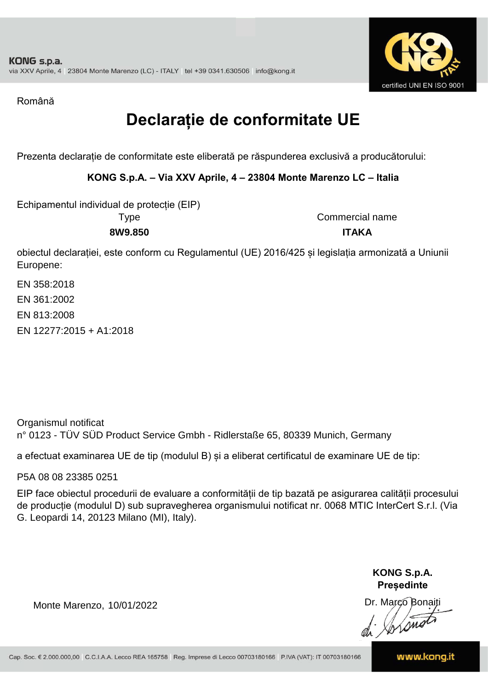

Română

## **Declarație de conformitate UE**

Prezenta declarație de conformitate este eliberată pe răspunderea exclusivă a producătorului:

### **KONG S.p.A. – Via XXV Aprile, 4 – 23804 Monte Marenzo LC – Italia**

Echipamentul individual de protecție (EIP)

Type

Commercial name **8W9.850 ITAKA**

obiectul declarației, este conform cu Regulamentul (UE) 2016/425 și legislația armonizată a Uniunii Europene:

EN 358:2018 EN 361:2002 EN 813:2008 EN 12277:2015 + A1:2018

Organismul notificat n° 0123 - TÜV SÜD Product Service Gmbh - Ridlerstaße 65, 80339 Munich, Germany

a efectuat examinarea UE de tip (modulul B) și a eliberat certificatul de examinare UE de tip:

P5A 08 08 23385 0251

EIP face obiectul procedurii de evaluare a conformității de tip bazată pe asigurarea calității procesului de producție (modulul D) sub supravegherea organismului notificat nr. 0068 MTIC InterCert S.r.l. (Via G. Leopardi 14, 20123 Milano (MI), Italy).

> **KONG S.p.A. Președinte**

Dr. Marco Bonaiti di Arono

Monte Marenzo, 10/01/2022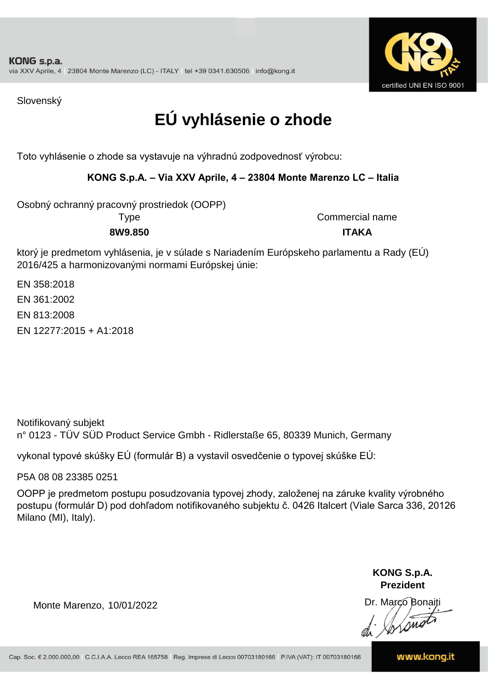

Slovenský

## **EÚ vyhlásenie o zhode**

Toto vyhlásenie o zhode sa vystavuje na výhradnú zodpovednosť výrobcu:

### **KONG S.p.A. – Via XXV Aprile, 4 – 23804 Monte Marenzo LC – Italia**

Osobný ochranný pracovný prostriedok (OOPP)

Type Commercial name **8W9.850 ITAKA**

ktorý je predmetom vyhlásenia, je v súlade s Nariadením Európskeho parlamentu a Rady (EÚ) 2016/425 a harmonizovanými normami Európskej únie:

EN 358:2018 EN 361:2002 EN 813:2008 EN 12277:2015 + A1:2018

n° 0123 - TÜV SÜD Product Service Gmbh - Ridlerstaße 65, 80339 Munich, Germany Notifikovaný subjekt

vykonal typové skúšky EÚ (formulár B) a vystavil osvedčenie o typovej skúške EÚ:

P5A 08 08 23385 0251

OOPP je predmetom postupu posudzovania typovej zhody, založenej na záruke kvality výrobného postupu (formulár D) pod dohľadom notifikovaného subjektu č. 0426 Italcert (Viale Sarca 336, 20126 Milano (MI), Italy).

> **KONG S.p.A. Prezident**

Dr. Marco Bonaiti di Aromor

Monte Marenzo, 10/01/2022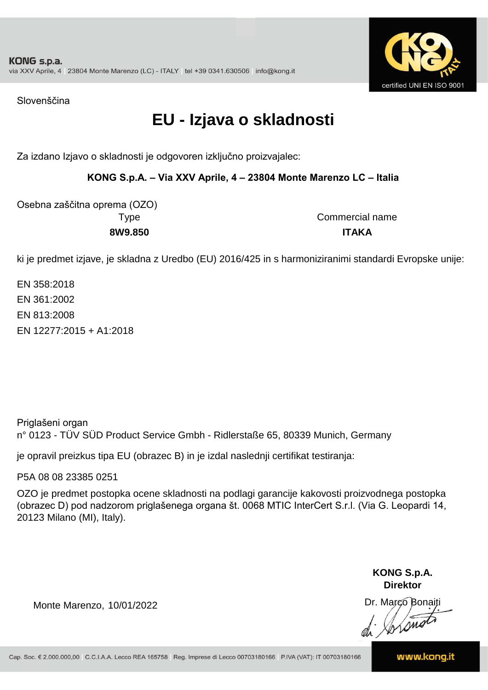

Slovenščina

## **EU - Izjava o skladnosti**

Za izdano Izjavo o skladnosti je odgovoren izključno proizvajalec:

### **KONG S.p.A. – Via XXV Aprile, 4 – 23804 Monte Marenzo LC – Italia**

Osebna zaščitna oprema (OZO)

Type Commercial name **8W9.850 ITAKA**

ki je predmet izjave, je skladna z Uredbo (EU) 2016/425 in s harmoniziranimi standardi Evropske unije:

EN 358:2018 EN 12277:2015 + A1:2018 EN 361:2002 EN 813:2008

Priglašeni organ n° 0123 - TÜV SÜD Product Service Gmbh - Ridlerstaße 65, 80339 Munich, Germany

je opravil preizkus tipa EU (obrazec B) in je izdal naslednji certifikat testiranja:

P5A 08 08 23385 0251

OZO je predmet postopka ocene skladnosti na podlagi garancije kakovosti proizvodnega postopka (obrazec D) pod nadzorom priglašenega organa št. 0068 MTIC InterCert S.r.l. (Via G. Leopardi 14, 20123 Milano (MI), Italy).

> **KONG S.p.A. Direktor**

Dr. Marco Bonaiti di Stonom